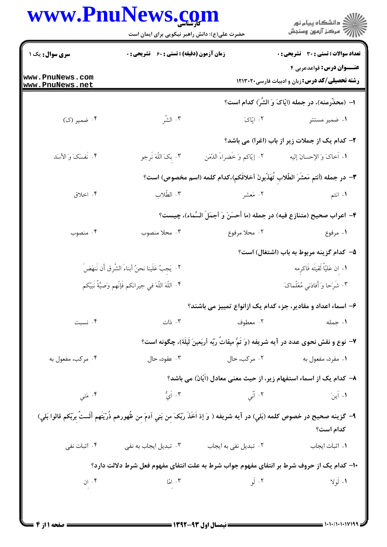## www.PnuNews.com

|                                                   | www.PnuNews.com<br>حضرت علی(ع): دانش راهبر نیکویی برای ایمان است |                              | ڪ دانشڪاه پيام نور<br>۾ سرڪز آزمون وسنڊش                                                                                                |  |
|---------------------------------------------------|------------------------------------------------------------------|------------------------------|-----------------------------------------------------------------------------------------------------------------------------------------|--|
| <b>سری سوال:</b> یک ۱                             | <b>زمان آزمون (دقیقه) : تستی : 60 ٪ تشریحی : 0</b>               |                              | <b>تعداد سوالات : تستي : 30 ٪ تشريحي : 0</b>                                                                                            |  |
|                                                   |                                                                  |                              | <b>عنــوان درس:</b> قواعدعربي ۴                                                                                                         |  |
| www.PnuNews.com<br>www.PnuNews.net                |                                                                  |                              | <b>رشته تحصیلی/کد درس:</b> زبان و ادبیات فارسی ۱۲۱۳۰۲۰                                                                                  |  |
|                                                   |                                                                  |                              | ا– (محذّرمنه)، در جمله (ايّاکَ وَ الشّر) کدام است؟                                                                                      |  |
| ۰۴ ضمیر (ک)                                       | ۰۳ الشّر                                                         | ۰۲ ایّاکَ                    | ۰۱ ضمیر مستتر                                                                                                                           |  |
|                                                   |                                                                  |                              | ۲- کدام یک از جملات زیر از باب (اغرا) می باشد؟                                                                                          |  |
| ۴. نَفسَکَ وَ الأسَد                              | ۰۳ بکَ اللّٰهَ نَرجو                                             | ٢. إيّاكم وَ خَضراءَ الدّمَن | ١. أخاكَ وَ الإحسانَ إليه                                                                                                               |  |
|                                                   |                                                                  |                              | ٣- در جمله (أنتم مَعشَرَ الطِّلابِ تُهَذِّبونَ أخلاقَكم)،كدام كلمه (اسم مخصوص) است؟                                                     |  |
| ۰۴ اخلاق                                          | ۰۳ الطّلاب                                                       | ۲. مَعشر                     | ۰۱ انتم                                                                                                                                 |  |
|                                                   |                                                                  |                              | ۴- اعراب صحيح (متنازع فيه) در جمله (ما أَحسَنَ وَ أجمَلَ السَّماء)، چيست؟                                                               |  |
| ۰۴ منصوب                                          | ۰۳ محلا منصوب                                                    | ۰۲ محلا مرفوع                | ۰۱ مرفوع                                                                                                                                |  |
|                                                   |                                                                  |                              | ۵– کدام گزینه مربوط به باب (اشتغال) است؟                                                                                                |  |
| ٢. يَجِبُ عَلَينا نحنُ أبناءَ الشَّرق أَن نَنهَضَ |                                                                  |                              | ٠١. إن عَليّاً لَقيتَه فَاكرِمه                                                                                                         |  |
|                                                   | ۴. اللَّهَ اللَّهَ في جيرانكم فَإِنَّهم وَصيَّةُ نَبِيَّكم       |                              | ۰۳ شَرَحا وَ أَفادَني مُعَلّماکَ                                                                                                        |  |
|                                                   |                                                                  |                              | ۶- اسماء اعداد و مقادیر، جزء کدام یک ازانواع تمییز می باشند؟                                                                            |  |
| ۰۴ نسبت                                           | ۰۳ ذات                                                           | ۰۲ معطوف                     | <b>۱. جمله</b> در استان کار برای برای برای استان برای استان برای استان برای استان برای کردند برای کردند برای استان ا                    |  |
|                                                   |                                                                  |                              | ٧- نوع و نقش نحوی عدد در آیه شریفه (وَ تَمَّ میقاتُ رَبّه أربَعینَ لَیلَة)، چگونه است؟                                                  |  |
| ۰۴ مرکب، مفعول به                                 | ۰۳ عقود، حال                                                     | ۰۲ مرکب، حال                 | ۰۱ مفرد، مفعول به                                                                                                                       |  |
|                                                   |                                                                  |                              | ۸– کدام یک از اسماء استفهام زیر، از حیث معنی معادل (آیّان) می باشد؟                                                                     |  |
| ۰۴ مَتي                                           | $\mathring{\mathcal{L}}$ . اَيُّ                                 |                              | ۰۲ آئی<br>۰۱ اَینَ                                                                                                                      |  |
|                                                   |                                                                  |                              | ٩- گزينه صحيح در خصوص كلمه (بَلي) در آيه شريفه ( وَ إذ اَخَذَ رَبّکَ مِن بَني اَدمَ مِن ظُهورهم ذُرّيَتَهم أَلَستُ بِرَبّکم قالوا بَلي) |  |
|                                                   |                                                                  |                              | كدام است؟                                                                                                                               |  |
| ۰۴ اثبات نفی                                      | ۰۳ تبدیل ایجاب به نفی                                            | ۰۲ تبدیل نفی به ایجاب        | ٠١ اثبات ايجاب                                                                                                                          |  |
|                                                   |                                                                  |                              | ۱۰- کدام یک از حروف شرط بر انتفای مفهوم جواب شرط به علت انتفای مفهوم فعل شرط دلالت دارد؟                                                |  |
| ۰۴ إن                                             | امّا $\cdot$ , $\cdot$                                           | ۰۲ آلو                       | ۱. لَولا                                                                                                                                |  |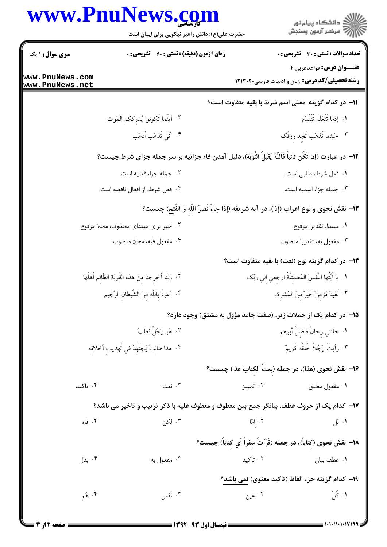|                                                                                                            | www.PnuNews.com<br>حضرت علی(ع): دانش راهبر نیکویی برای ایمان است |          | ڪ دانشڪاه پيام نور<br>∕7 مرڪز آزمون وسنڊش                                                 |  |  |
|------------------------------------------------------------------------------------------------------------|------------------------------------------------------------------|----------|-------------------------------------------------------------------------------------------|--|--|
| <b>سری سوال : ۱ یک</b>                                                                                     | <b>زمان آزمون (دقیقه) : تستی : 60 ٪ تشریحی : 0</b>               |          | تعداد سوالات : تستي : 30 ٪ تشريحي : 0                                                     |  |  |
| www.PnuNews.com<br>www.PnuNews.net                                                                         |                                                                  |          | <b>عنــوان درس:</b> قواعدعربي ۴<br><b>رشته تحصیلی/کد درس:</b> زبان و ادبیات فارسی ۱۲۱۳۰۲۰ |  |  |
|                                                                                                            |                                                                  |          | 11– در كدام گزينه ًمعنى اسم شرط با بقيه متفاوت است؟                                       |  |  |
|                                                                                                            | ٢. أيَنَما تَكونوا يُدرِككم المَوت                               |          | ١. إذما تَتَعَلّم تَتَقَدّم                                                               |  |  |
|                                                                                                            | ۴. أَنِّي تَذهَب اَذهَب                                          |          | ٣. حَيثما تَذهَب تَجد رزقَک                                                               |  |  |
| ١٢- در عبارت (إن تَكُن تائباً فَاللَّهُ يَقبَلُ التَّوبَة)، دليل آمدن فاء جزائيه بر سر جمله جزاى شرط چيست؟ |                                                                  |          |                                                                                           |  |  |
|                                                                                                            | ۰۲ جمله جزا، فعلیه است.                                          |          | ٠١ فعل شرط، طلبي است.                                                                     |  |  |
|                                                                                                            | ۰۴ فعل شرط، از افعال ناقصه است.                                  |          | ٠٣ جمله جزا، اسميه است.                                                                   |  |  |
|                                                                                                            |                                                                  |          | 13- نقش نحوى و نوع اعراب (إذا)، در آيه شريفه (إذا جاء نُصرُ اللَّه وَ الفُتح) چيست؟       |  |  |
|                                                                                                            | ۰۲ خبر برای مبتدای محذوف، محلا مرفوع                             |          | ٠١ مبتدا، تقديرا مرفوع                                                                    |  |  |
|                                                                                                            | ۰۴ مفعول فيه، محلا منصوب                                         |          | ۰۳ مفعول به، تقديرا منصوب                                                                 |  |  |
|                                                                                                            |                                                                  |          | ۱۴– در کدام گزینه نوع (نعت) با بقیه متفاوت است؟                                           |  |  |
|                                                                                                            | ٢. ربَّنا أخرِجنا مِن هذه القَريَة الظَّالم اَهلُها              |          | ١. يا اَيُّتُها النَّفسُ المُطمَئنَّةُ ارجعي الي ربَّك                                    |  |  |
|                                                                                                            | ۴. أعوذُ بِاللّهِ مِنَ الشَّيطانِ الرَّجيم                       |          | ٣. لَعَبْدٌ مُؤْمِنٌ خَيرٌ منَ المُشرِك                                                   |  |  |
|                                                                                                            |                                                                  |          | ۱۵– در کدام یک از جملات زیر، (صفت جامد مؤوّل به مشتق) وجود دارد؟                          |  |  |
|                                                                                                            | ٠٢ هُو رَجُلٌ ثَعلَبٌ                                            |          | ٠١ جائني رجالٌ فاضلٌ أبوهم                                                                |  |  |
| ۴. هذا طالبٌ يَجتَهدُ في تَهذيب أخلاقه                                                                     |                                                                  |          | ٠٣ رَأَيتُ رَجُلاً خُلقُه كَرِيمٌ                                                         |  |  |
|                                                                                                            |                                                                  |          | ۱۶– نقش نحوي (هذا)، در جمله (بعتَ الكتابَ هذا) چيست؟                                      |  |  |
| ۰۴ تاکید                                                                                                   | ۰۳ نعت                                                           | ۰۲ تمييز | ۰۱ مفعول مطلق                                                                             |  |  |
| ۱۷-  کدام یک از حروف عطف، بیانگر جمع بین معطوف و معطوف علیه با ذکر ترتیب و تاخیر می باشد؟                  |                                                                  |          |                                                                                           |  |  |
| ۰۴ فاء                                                                                                     | ۰۳ لکن                                                           | ۲. امّا  | ۰۱ بَل                                                                                    |  |  |
|                                                                                                            |                                                                  |          | ١٨– نقش نحوى (كتاباً)، در جمله (قَرَأتُ سفراً اَي كتاباً) چيست؟                           |  |  |
| ۰۴ بدل                                                                                                     | ۰۳ مفعول به                                                      | ۰۲ تاکید | ٠١ عطف بيان                                                                               |  |  |
|                                                                                                            |                                                                  |          | ۱۹– کدام گزینه جزء الفاظ (تاکید معنوی) نمی باشد؟                                          |  |  |
| ۰۴ هُم                                                                                                     | ۰۳ نَفْس                                                         | ۰۲ عَين  | ۰۱ کُلّ                                                                                   |  |  |
|                                                                                                            |                                                                  |          | 1.1.1.1.1.11199                                                                           |  |  |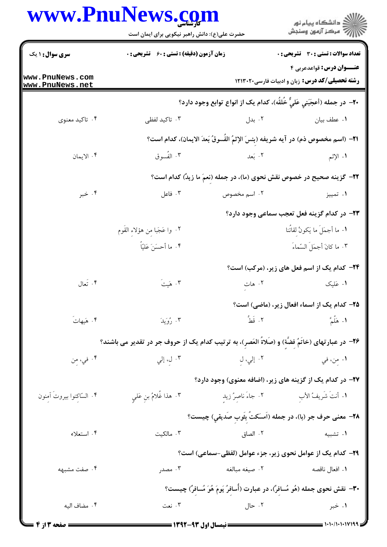## WWW DnuNawe com

|                                    | حضرت علی(ع): دانش راهبر نیکویی برای ایمان است                                                     |                                                                                   | ≦ دانشگاه پيام نو <b>ر</b><br>" مرڪز آزمون وسنڊش                                          |
|------------------------------------|---------------------------------------------------------------------------------------------------|-----------------------------------------------------------------------------------|-------------------------------------------------------------------------------------------|
| <b>سری سوال : ۱ یک</b>             | <b>زمان آزمون (دقیقه) : تستی : 60 ٪ تشریحی : 0</b>                                                |                                                                                   | تعداد سوالات : تستي : 30 ٪ تشريحي : 0                                                     |
| www.PnuNews.com<br>www.PnuNews.net |                                                                                                   |                                                                                   | <b>عنــوان درس:</b> قواعدعربي ۴<br><b>رشته تحصیلی/کد درس:</b> زبان و ادبیات فارسی ۱۲۱۳۰۲۰ |
|                                    |                                                                                                   | +٢- در جمله (أعجَبَني عَلىٌّ خُلقُه)، كدام يک از انواع توابع وجود دارد؟           |                                                                                           |
| ۰۴ تاکید معنوی                     | ۰۳ تاکید لفظی                                                                                     | ۰۲ بدل                                                                            | ٠١ عطف بيان                                                                               |
|                                    |                                                                                                   | ا۲−  (اسم مخصوص ذم) در آیه شریفه (بئسَ الإِثمُ الفُسوقُ بَعدَ الایمان)، کدام است؟ |                                                                                           |
| ۰۴ الايمان                         | ۰۳ الفُسوق                                                                                        | ۰۲ بَعد                                                                           | ١. الإثم                                                                                  |
|                                    | ۲۲- گزینه صحیح در خصوص نقش نحوی (ما)، در جمله (نعمَ ما زیدٌ) کدام است؟                            |                                                                                   |                                                                                           |
| ۰۴ خبر                             | ۰۳ فاعل                                                                                           | ۰۲ اسم مخصوص                                                                      | ۰۱ تمییز                                                                                  |
|                                    |                                                                                                   |                                                                                   | ۲۳– در کدام گزینه فعل تعجب سماعی وجود دارد؟                                               |
|                                    | ٢. وا عَجَبا من هؤلاء القُوم                                                                      |                                                                                   | ١. ما أجمَلَ ما يَكونُ لقائُنا                                                            |
|                                    | ۰۴ ما أحسَنَ عَليّاً                                                                              |                                                                                   | ٠٣ ما كانَ أجمَلَ السَّماءَ                                                               |
|                                    |                                                                                                   |                                                                                   | <b>۳۴</b> - کدام یک از اسم فعل های زیر، (مرکب) است؟                                       |
| ۰۴ تَعال                           | $\tilde{\mathbf{r}}$ . هَيتَ                                                                      | ۰۲ هات                                                                            | ۰۱ عَلیک                                                                                  |
|                                    |                                                                                                   |                                                                                   | ۲۵– کدام یک از اسماء افعال زیر، (ماضی) است؟                                               |
| ۰۴ هَیهاتَ                         | ۰۳ رُوَيدَ                                                                                        |                                                                                   | ١. هَلَّمَّ                                                                               |
|                                    | ۲۶– در عبارتهای (خاتَمٌ فضَّة) و (صَلاةَ العَصرِ)، به ترتیب کدام یک از حروف جر در تقدیر می باشند؟ |                                                                                   |                                                                                           |
| ۰۴ في، مِن                         | ۰۳ ل، إلي                                                                                         | ٢. إلي، لِ                                                                        | ۰۱ مِن، في                                                                                |
|                                    |                                                                                                   |                                                                                   | ۲۷– در کدام یک از گزینه های زیر، (اضافه معنوی) وجود دارد؟                                 |
| ۰۴ السّاكِنوا بيروتَ آمِنون        | ٢. هذا غُلامٌ بنِ عَلمٍ                                                                           |                                                                                   | ١. أنتُ شَرِيفُ الأبِ مستقدم ٢. جاءَ ناصِرُ زيدِ                                          |
|                                    |                                                                                                   |                                                                                   | ٢٨- معنى حرف جر (با)، در جمله (اَمسَكتَ بِثَوبِ صَديقي) چيست؟                             |
| ۰۴ استعلاء                         | ۰۳ مالکیت                                                                                         | ۰۲ الصاق                                                                          | ۰۱ تشبیه                                                                                  |
|                                    |                                                                                                   | ۲۹– کدام یک از عوامل نحوی زیر، جزء عوامل (لفظی-سماعی) است؟                        |                                                                                           |
| ۰۴ صفت مشبهه                       | ۰۳ مصدر                                                                                           | ۰۲ صيغه مبالغه                                                                    | ۰۱ افعال ناقصه                                                                            |
|                                    |                                                                                                   | ۳۰- نقش نحوی جمله (هُو مُسافرٌ)، در عبارت (أُسافرُ يَومَ هُوَ مُسافرٌ) چيست؟      |                                                                                           |
| ۰۴ مضاف اليه                       | ۰۳ نعت                                                                                            | ۰۲ حال                                                                            | ۰۱ خبر                                                                                    |
|                                    |                                                                                                   |                                                                                   |                                                                                           |